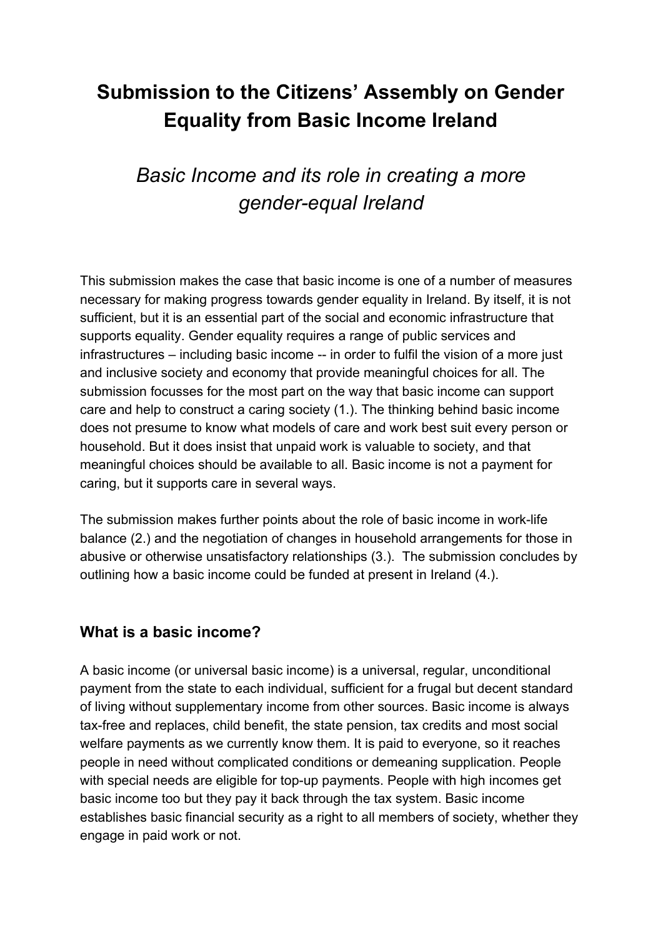# **Submission to the Citizens' Assembly on Gender Equality from Basic Income Ireland**

# *Basic Income and its role in creating a more gender-equal Ireland*

This submission makes the case that basic income is one of a number of measures necessary for making progress towards gender equality in Ireland. By itself, it is not sufficient, but it is an essential part of the social and economic infrastructure that supports equality. Gender equality requires a range of public services and infrastructures – including basic income -- in order to fulfil the vision of a more just and inclusive society and economy that provide meaningful choices for all. The submission focusses for the most part on the way that basic income can support care and help to construct a caring society (1.). The thinking behind basic income does not presume to know what models of care and work best suit every person or household. But it does insist that unpaid work is valuable to society, and that meaningful choices should be available to all. Basic income is not a payment for caring, but it supports care in several ways.

The submission makes further points about the role of basic income in work-life balance (2.) and the negotiation of changes in household arrangements for those in abusive or otherwise unsatisfactory relationships (3.). The submission concludes by outlining how a basic income could be funded at present in Ireland (4.).

### **What is a basic income?**

A basic income (or universal basic income) is a universal, regular, unconditional payment from the state to each individual, sufficient for a frugal but decent standard of living without supplementary income from other sources. Basic income is always tax-free and replaces, child benefit, the state pension, tax credits and most social welfare payments as we currently know them. It is paid to everyone, so it reaches people in need without complicated conditions or demeaning supplication. People with special needs are eligible for top-up payments. People with high incomes get basic income too but they pay it back through the tax system. Basic income establishes basic financial security as a right to all members of society, whether they engage in paid work or not.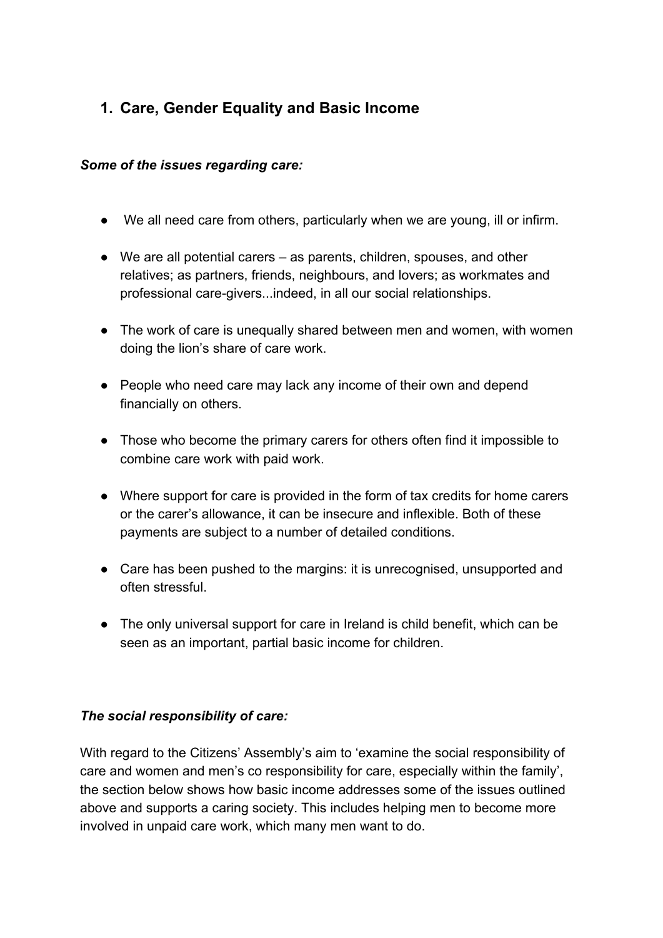## **1. Care, Gender Equality and Basic Income**

#### *Some of the issues regarding care:*

- We all need care from others, particularly when we are young, ill or infirm.
- We are all potential carers as parents, children, spouses, and other relatives; as partners, friends, neighbours, and lovers; as workmates and professional care-givers...indeed, in all our social relationships.
- The work of care is unequally shared between men and women, with women doing the lion's share of care work.
- People who need care may lack any income of their own and depend financially on others.
- Those who become the primary carers for others often find it impossible to combine care work with paid work.
- Where support for care is provided in the form of tax credits for home carers or the carer's allowance, it can be insecure and inflexible. Both of these payments are subject to a number of detailed conditions.
- Care has been pushed to the margins: it is unrecognised, unsupported and often stressful.
- The only universal support for care in Ireland is child benefit, which can be seen as an important, partial basic income for children.

#### *The social responsibility of care:*

With regard to the Citizens' Assembly's aim to 'examine the social responsibility of care and women and men's co responsibility for care, especially within the family', the section below shows how basic income addresses some of the issues outlined above and supports a caring society. This includes helping men to become more involved in unpaid care work, which many men want to do.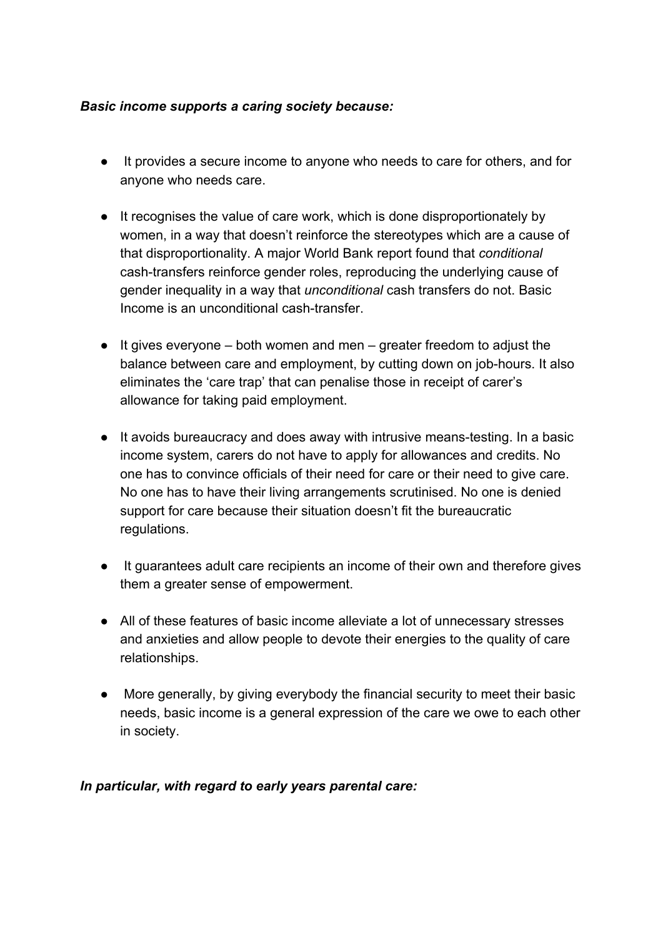#### *Basic income supports a caring society because:*

- It provides a secure income to anyone who needs to care for others, and for anyone who needs care.
- It recognises the value of care work, which is done disproportionately by women, in a way that doesn't reinforce the stereotypes which are a cause of that disproportionality. A major World Bank report found that *conditional* cash-transfers reinforce gender roles, reproducing the underlying cause of gender inequality in a way that *unconditional* cash transfers do not. Basic Income is an unconditional cash-transfer.
- $\bullet$  It gives everyone both women and men greater freedom to adjust the balance between care and employment, by cutting down on job-hours. It also eliminates the 'care trap' that can penalise those in receipt of carer's allowance for taking paid employment.
- It avoids bureaucracy and does away with intrusive means-testing. In a basic income system, carers do not have to apply for allowances and credits. No one has to convince officials of their need for care or their need to give care. No one has to have their living arrangements scrutinised. No one is denied support for care because their situation doesn't fit the bureaucratic regulations.
- It guarantees adult care recipients an income of their own and therefore gives them a greater sense of empowerment.
- All of these features of basic income alleviate a lot of unnecessary stresses and anxieties and allow people to devote their energies to the quality of care relationships.
- More generally, by giving everybody the financial security to meet their basic needs, basic income is a general expression of the care we owe to each other in society.

#### *In particular, with regard to early years parental care:*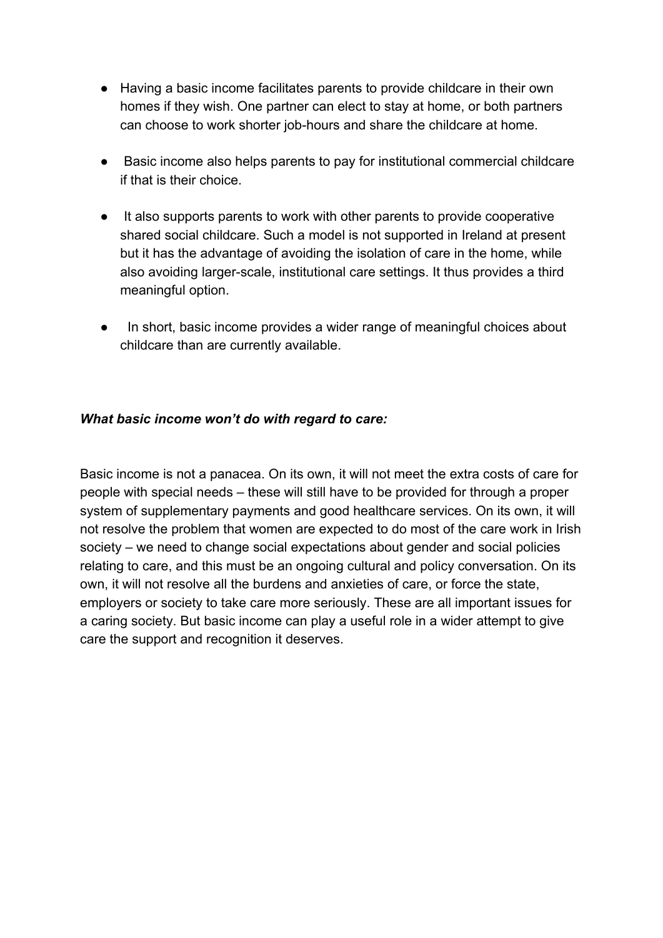- Having a basic income facilitates parents to provide childcare in their own homes if they wish. One partner can elect to stay at home, or both partners can choose to work shorter job-hours and share the childcare at home.
- Basic income also helps parents to pay for institutional commercial childcare if that is their choice.
- It also supports parents to work with other parents to provide cooperative shared social childcare. Such a model is not supported in Ireland at present but it has the advantage of avoiding the isolation of care in the home, while also avoiding larger-scale, institutional care settings. It thus provides a third meaningful option.
- In short, basic income provides a wider range of meaningful choices about childcare than are currently available.

#### *What basic income won't do with regard to care:*

Basic income is not a panacea. On its own, it will not meet the extra costs of care for people with special needs – these will still have to be provided for through a proper system of supplementary payments and good healthcare services. On its own, it will not resolve the problem that women are expected to do most of the care work in Irish society – we need to change social expectations about gender and social policies relating to care, and this must be an ongoing cultural and policy conversation. On its own, it will not resolve all the burdens and anxieties of care, or force the state, employers or society to take care more seriously. These are all important issues for a caring society. But basic income can play a useful role in a wider attempt to give care the support and recognition it deserves.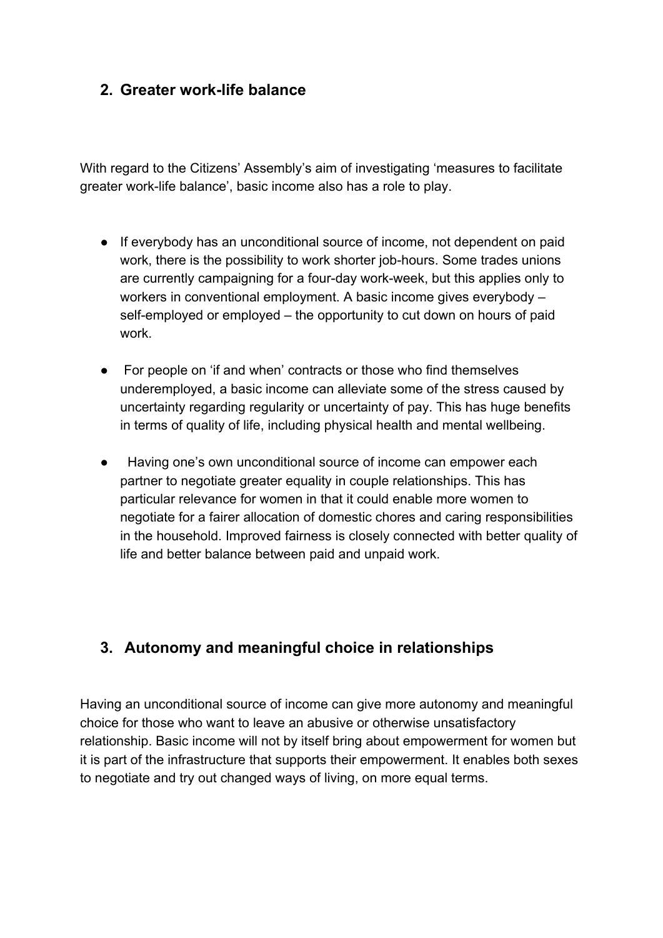### **2. Greater work-life balance**

With regard to the Citizens' Assembly's aim of investigating 'measures to facilitate greater work-life balance', basic income also has a role to play.

- If everybody has an unconditional source of income, not dependent on paid work, there is the possibility to work shorter job-hours. Some trades unions are currently campaigning for a four-day work-week, but this applies only to workers in conventional employment. A basic income gives everybody – self-employed or employed – the opportunity to cut down on hours of paid work.
- For people on 'if and when' contracts or those who find themselves underemployed, a basic income can alleviate some of the stress caused by uncertainty regarding regularity or uncertainty of pay. This has huge benefits in terms of quality of life, including physical health and mental wellbeing.
- Having one's own unconditional source of income can empower each partner to negotiate greater equality in couple relationships. This has particular relevance for women in that it could enable more women to negotiate for a fairer allocation of domestic chores and caring responsibilities in the household. Improved fairness is closely connected with better quality of life and better balance between paid and unpaid work.

## **3. Autonomy and meaningful choice in relationships**

Having an unconditional source of income can give more autonomy and meaningful choice for those who want to leave an abusive or otherwise unsatisfactory relationship. Basic income will not by itself bring about empowerment for women but it is part of the infrastructure that supports their empowerment. It enables both sexes to negotiate and try out changed ways of living, on more equal terms.